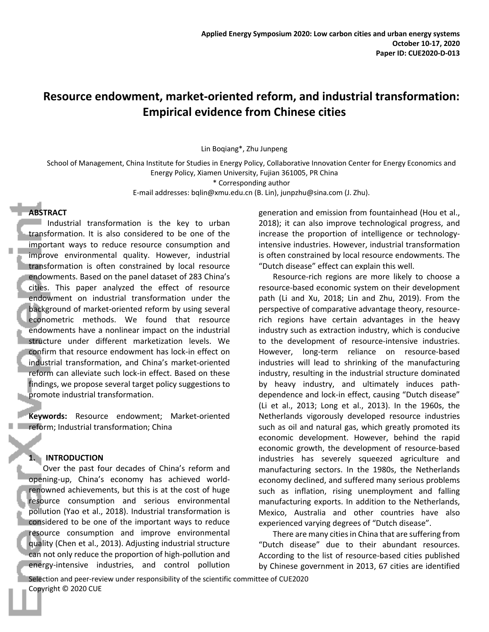# **Resource endowment, market-oriented reform, and industrial transformation: Empirical evidence from Chinese cities**

Lin Boqiang\*, Zhu Junpeng

School of Management, China Institute for Studies in Energy Policy, Collaborative Innovation Center for Energy Economics and Energy Policy, Xiamen University, Fujian 361005, PR China

\* Corresponding author

E-mail addresses: bqlin@xmu.edu.cn (B. Lin), junpzhu@sina.com (J. Zhu).

# **ABSTRACT**

 $\blacksquare$  Industrial transformation is the key to urban transformation. It is also considered to be one of the important ways to reduce resource consumption and improve environmental quality. However, industrial transformation is often constrained by local resource endowments. Based on the panel dataset of 283 China's cities. This paper analyzed the effect of resource endowment on industrial transformation under the background of market-oriented reform by using several econometric methods. We found that resource endowments have a nonlinear impact on the industrial structure under different marketization levels. We confirm that resource endowment has lock-in effect on industrial transformation, and China's market-oriented reform can alleviate such lock-in effect. Based on these findings, we propose several target policy suggestions to promote industrial transformation.

**Keywords:** Resource endowment; Market-oriented reform; Industrial transformation; China

# **1. INTRODUCTION**

Over the past four decades of China's reform and opening-up, China's economy has achieved worldrenowned achievements, but this is at the cost of huge resource consumption and serious environmental pollution (Yao et al., 2018). Industrial transformation is considered to be one of the important ways to reduce resource consumption and improve environmental quality (Chen et al., 2013). Adjusting industrial structure can not only reduce the proportion of high-pollution and energy-intensive industries, and control pollution

generation and emission from fountainhead (Hou et al., 2018); it can also improve technological progress, and increase the proportion of intelligence or technologyintensive industries. However, industrial transformation is often constrained by local resource endowments. The "Dutch disease" effect can explain this well.

Resource-rich regions are more likely to choose a resource-based economic system on their development path (Li and Xu, 2018; Lin and Zhu, 2019). From the perspective of comparative advantage theory, resourcerich regions have certain advantages in the heavy industry such as extraction industry, which is conducive to the development of resource-intensive industries. However, long-term reliance on resource-based industries will lead to shrinking of the manufacturing industry, resulting in the industrial structure dominated by heavy industry, and ultimately induces pathdependence and lock-in effect, causing "Dutch disease" (Li et al., 2013; Long et al., 2013). In the 1960s, the Netherlands vigorously developed resource industries such as oil and natural gas, which greatly promoted its economic development. However, behind the rapid economic growth, the development of resource-based industries has severely squeezed agriculture and manufacturing sectors. In the 1980s, the Netherlands economy declined, and suffered many serious problems such as inflation, rising unemployment and falling manufacturing exports. In addition to the Netherlands, Mexico, Australia and other countries have also experienced varying degrees of "Dutch disease".

There are many cities in China that are suffering from "Dutch disease" due to their abundant resources. According to the list of resource-based cities published by Chinese government in 2013, 67 cities are identified

Selection and peer-review under responsibility of the scientific committee of CUE2020 Copyright © 2020 CUE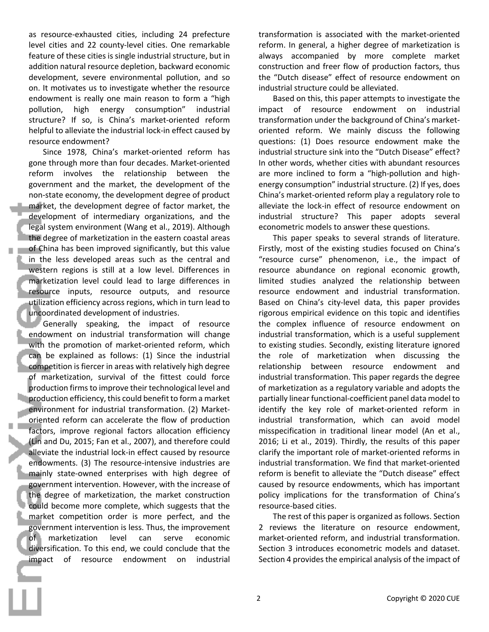as resource-exhausted cities, including 24 prefecture level cities and 22 county-level cities. One remarkable feature of these cities is single industrial structure, but in addition natural resource depletion, backward economic development, severe environmental pollution, and so on. It motivates us to investigate whether the resource endowment is really one main reason to form a "high pollution, high energy consumption" industrial structure? If so, is China's market-oriented reform helpful to alleviate the industrial lock-in effect caused by resource endowment?

Since 1978, China's market-oriented reform has gone through more than four decades. Market-oriented reform involves the relationship between the government and the market, the development of the non-state economy, the development degree of product market, the development degree of factor market, the development of intermediary organizations, and the legal system environment (Wang et al., 2019). Although the degree of marketization in the eastern coastal areas of China has been improved significantly, but this value in the less developed areas such as the central and western regions is still at a low level. Differences in marketization level could lead to large differences in resource inputs, resource outputs, and resource utilization efficiency across regions, which in turn lead to uncoordinated development of industries.

Generally speaking, the impact of resource endowment on industrial transformation will change with the promotion of market-oriented reform, which can be explained as follows: (1) Since the industrial competition is fiercer in areas with relatively high degree of marketization, survival of the fittest could force production firms to improve their technological level and **production efficiency, this could benefit to form a market** environment for industrial transformation. (2) Marketoriented reform can accelerate the flow of production factors, improve regional factors allocation efficiency (Lin and Du, 2015; Fan et al., 2007), and therefore could alleviate the industrial lock-in effect caused by resource endowments. (3) The resource-intensive industries are mainly state-owned enterprises with high degree of government intervention. However, with the increase of the degree of marketization, the market construction could become more complete, which suggests that the market competition order is more perfect, and the government intervention is less. Thus, the improvement of marketization level can serve economic diversification. To this end, we could conclude that the impact of resource endowment on industrial transformation is associated with the market-oriented reform. In general, a higher degree of marketization is always accompanied by more complete market construction and freer flow of production factors, thus the "Dutch disease" effect of resource endowment on industrial structure could be alleviated.

Based on this, this paper attempts to investigate the impact of resource endowment on industrial transformation under the background of China's marketoriented reform. We mainly discuss the following questions: (1) Does resource endowment make the industrial structure sink into the "Dutch Disease" effect? In other words, whether cities with abundant resources are more inclined to form a "high-pollution and highenergy consumption" industrial structure. (2) If yes, does China's market-oriented reform play a regulatory role to alleviate the lock-in effect of resource endowment on industrial structure? This paper adopts several econometric models to answer these questions.

This paper speaks to several strands of literature. Firstly, most of the existing studies focused on China's "resource curse" phenomenon, i.e., the impact of resource abundance on regional economic growth, limited studies analyzed the relationship between resource endowment and industrial transformation. Based on China's city-level data, this paper provides rigorous empirical evidence on this topic and identifies the complex influence of resource endowment on industrial transformation, which is a useful supplement to existing studies. Secondly, existing literature ignored the role of marketization when discussing the relationship between resource endowment and industrial transformation. This paper regards the degree of marketization as a regulatory variable and adopts the partially linear functional-coefficient panel data model to identify the key role of market-oriented reform in industrial transformation, which can avoid model misspecification in traditional linear model (An et al., 2016; Li et al., 2019). Thirdly, the results of this paper clarify the important role of market-oriented reforms in industrial transformation. We find that market-oriented reform is benefit to alleviate the "Dutch disease" effect caused by resource endowments, which has important policy implications for the transformation of China's resource-based cities.

The rest of this paper is organized as follows. Section 2 reviews the literature on resource endowment, market-oriented reform, and industrial transformation. Section 3 introduces econometric models and dataset. Section 4 provides the empirical analysis of the impact of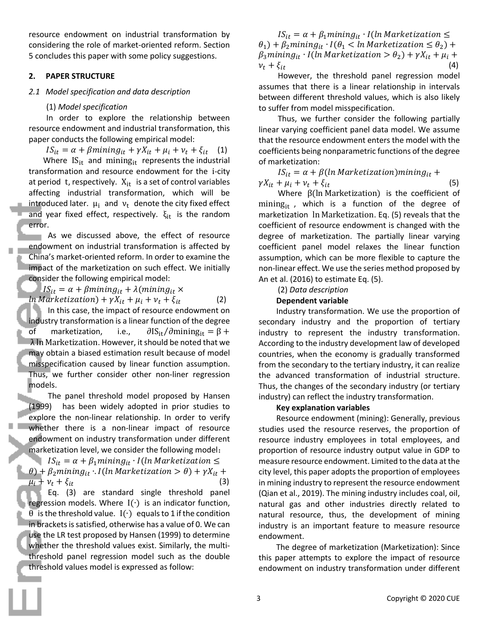resource endowment on industrial transformation by considering the role of market-oriented reform. Section 5 concludes this paper with some policy suggestions.

#### **2. PAPER STRUCTURE**

#### *2.1 Model specification and data description*

#### (1) *Model specification*

In order to explore the relationship between resource endowment and industrial transformation, this paper conducts the following empirical model:

 $IS_{it} = \alpha + \beta mining_{it} + \gamma X_{it} + \mu_i + \nu_t + \xi_{it}$  (1)

Where  $IS_{it}$  and mining<sub>it</sub> represents the industrial transformation and resource endowment for the i-city at period t, respectively.  $X_{it}$  is a set of control variables affecting industrial transformation, which will be introduced later.  $\mu_i$  and  $\nu_t$  denote the city fixed effect and year fixed effect, respectively.  $\xi_{it}$  is the random error.

As we discussed above, the effect of resource endowment on industrial transformation is affected by China's market-oriented reform. In order to examine the impact of the marketization on such effect. We initially consider the following empirical model:

 $IS_{it} = \alpha + \beta mining_{it} + \lambda (mining_{it} \times$ 

 $ln$  Marketization) +  $\gamma X_{it} + \mu_i + \nu_t + \xi_{it}$  (2) In this case, the impact of resource endowment on industry transformation is a linear function of the degree  $\overline{\text{of}}$  marketization, i.e.,  $\partial \text{IS}_{\text{it}}/\partial \text{mining}_{\text{it}} = \beta + \overline{\text{if}}$ λ ln Marketization. However, it should be noted that we may obtain a biased estimation result because of model misspecification caused by linear function assumption. Thus, we further consider other non-liner regression models.

The panel threshold model proposed by Hansen (1999) has been widely adopted in prior studies to explore the non-linear relationship. In order to verify whether there is a non-linear impact of resource endowment on industry transformation under different marketization level, we consider the following model:

 $IS_{it} = \alpha + \beta_1 mining_{it} \cdot I(ln \text{Marketization} \leq$  $\theta$ ) +  $\beta$ <sub>2</sub> mining<sub>it</sub>  $\cdot$  I(ln Marketization >  $\theta$ ) +  $\gamma X_{it}$  +  $\overline{\mu_i} + \nu_t + \xi_{it}$  (3)

Eq. (3) are standard single threshold panel regression models. Where I(∙) is an indicator function,  $\theta$  is the threshold value. I( $\cdot$ ) equals to 1 if the condition in brackets is satisfied, otherwise has a value of 0. We can use the LR test proposed by Hansen (1999) to determine whether the threshold values exist. Similarly, the multithreshold panel regression model such as the double threshold values model is expressed as follow:

 $IS_{it} = \alpha + \beta_1 mining_{it} \cdot I(ln \textit{Marketization} \leq$  $\theta_1$ ) +  $\beta_2$ mining<sub>it</sub> · I( $\theta_1$  < ln Marketization  $\leq \theta_2$ ) +  $\beta_3$ mining<sub>it</sub> · I(ln Marketization >  $\theta_2$ ) +  $\gamma X_{it}$  +  $\mu_i$  +  $v_t + \xi_{it}$  (4)

However, the threshold panel regression model assumes that there is a linear relationship in intervals between different threshold values, which is also likely to suffer from model misspecification.

Thus, we further consider the following partially linear varying coefficient panel data model. We assume that the resource endowment enters the model with the coefficients being nonparametric functions of the degree of marketization:

 $IS_{it} = \alpha + \beta (ln Marketization) mining_{it} +$  $\gamma X_{it} + \mu_i + \nu_t + \xi_{it}$  (5)

Where β(ln Marketization) is the coefficient of mining $_{it}$ , which is a function of the degree of marketization ln Marketization. Eq. (5) reveals that the coefficient of resource endowment is changed with the degree of marketization. The partially linear varying coefficient panel model relaxes the linear function assumption, which can be more flexible to capture the non-linear effect. We use the series method proposed by An et al. (2016) to estimate Eq. (5).

# (2) *Data description*

#### **Dependent variable**

Industry transformation. We use the proportion of secondary industry and the proportion of tertiary industry to represent the industry transformation. According to the industry development law of developed countries, when the economy is gradually transformed from the secondary to the tertiary industry, it can realize the advanced transformation of industrial structure. Thus, the changes of the secondary industry (or tertiary industry) can reflect the industry transformation.

#### **Key explanation variables**

Resource endowment (mining): Generally, previous studies used the resource reserves, the proportion of resource industry employees in total employees, and proportion of resource industry output value in GDP to measure resource endowment. Limited to the data at the city level, this paper adopts the proportion of employees in mining industry to represent the resource endowment (Qian et al., 2019). The mining industry includes coal, oil, natural gas and other industries directly related to natural resource, thus, the development of mining industry is an important feature to measure resource endowment.

The degree of marketization (Marketization): Since this paper attempts to explore the impact of resource endowment on industry transformation under different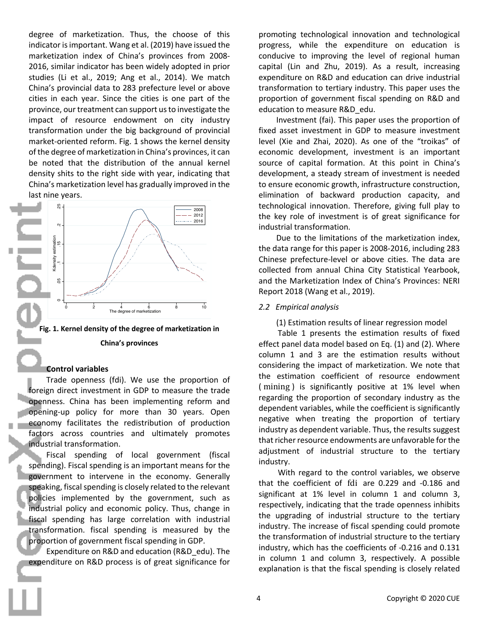degree of marketization. Thus, the choose of this indicator is important. Wang et al. (2019) have issued the marketization index of China's provinces from 2008- 2016, similar indicator has been widely adopted in prior studies (Li et al., 2019; Ang et al., 2014). We match China's provincial data to 283 prefecture level or above cities in each year. Since the cities is one part of the province, our treatment can support us to investigate the impact of resource endowment on city industry transformation under the big background of provincial market-oriented reform. Fig. 1 shows the kernel density of the degree of marketization in China's provinces, it can be noted that the distribution of the annual kernel density shits to the right side with year, indicating that China's marketization level has gradually improved in the last nine years.



**Fig. 1. Kernel density of the degree of marketization in** 

#### **China's provinces**

#### **Control variables**

Trade openness (fdi). We use the proportion of foreign direct investment in GDP to measure the trade openness. China has been implementing reform and opening-up policy for more than 30 years. Open economy facilitates the redistribution of production factors across countries and ultimately promotes industrial transformation.

Fiscal spending of local government (fiscal spending). Fiscal spending is an important means for the government to intervene in the economy. Generally speaking, fiscal spending is closely related to the relevant policies implemented by the government, such as industrial policy and economic policy. Thus, change in fiscal spending has large correlation with industrial transformation. fiscal spending is measured by the proportion of government fiscal spending in GDP.

Expenditure on R&D and education (R&D\_edu). The expenditure on R&D process is of great significance for promoting technological innovation and technological progress, while the expenditure on education is conducive to improving the level of regional human capital (Lin and Zhu, 2019). As a result, increasing expenditure on R&D and education can drive industrial transformation to tertiary industry. This paper uses the proportion of government fiscal spending on R&D and education to measure R&D\_edu.

Investment (fai). This paper uses the proportion of fixed asset investment in GDP to measure investment level (Xie and Zhai, 2020). As one of the "troikas" of economic development, investment is an important source of capital formation. At this point in China's development, a steady stream of investment is needed to ensure economic growth, infrastructure construction, elimination of backward production capacity, and technological innovation. Therefore, giving full play to the key role of investment is of great significance for industrial transformation.

Due to the limitations of the marketization index, the data range for this paper is 2008-2016, including 283 Chinese prefecture-level or above cities. The data are collected from annual China City Statistical Yearbook, and the Marketization Index of China's Provinces: NERI Report 2018 (Wang et al., 2019).

#### *2.2 Empirical analysis*

(1) Estimation results of linear regression model

Table 1 presents the estimation results of fixed effect panel data model based on Eq. (1) and (2). Where column 1 and 3 are the estimation results without considering the impact of marketization. We note that the estimation coefficient of resource endowment ( mining ) is significantly positive at 1% level when regarding the proportion of secondary industry as the dependent variables, while the coefficient is significantly negative when treating the proportion of tertiary industry as dependent variable. Thus, the results suggest that richer resource endowments are unfavorable for the adjustment of industrial structure to the tertiary industry.

With regard to the control variables, we observe that the coefficient of fdi are 0.229 and -0.186 and significant at 1% level in column 1 and column 3, respectively, indicating that the trade openness inhibits the upgrading of industrial structure to the tertiary industry. The increase of fiscal spending could promote the transformation of industrial structure to the tertiary industry, which has the coefficients of -0.216 and 0.131 in column 1 and column 3, respectively. A possible explanation is that the fiscal spending is closely related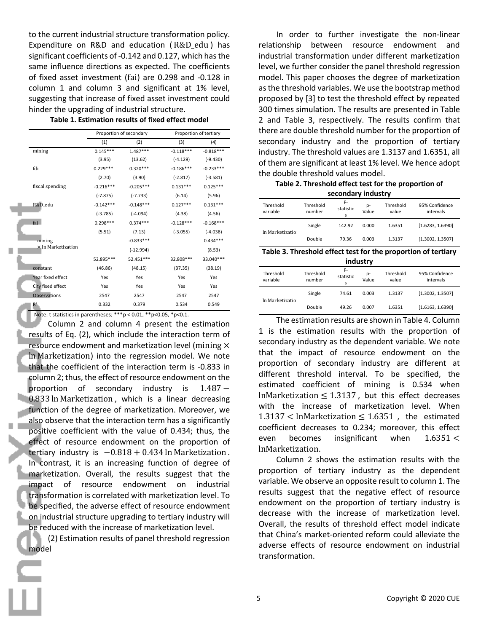to the current industrial structure transformation policy. Expenditure on R&D and education ( R&D\_edu ) has significant coefficients of -0.142 and 0.127, which has the same influence directions as expected. The coefficients of fixed asset investment (fai) are 0.298 and -0.128 in column 1 and column 3 and significant at 1% level, suggesting that increase of fixed asset investment could hinder the upgrading of industrial structure.

| Table 1. Estimation results of fixed effect model |  |  |  |  |
|---------------------------------------------------|--|--|--|--|
|---------------------------------------------------|--|--|--|--|

|                    | Proportion of secondary |             |             | Proportion of tertiary |
|--------------------|-------------------------|-------------|-------------|------------------------|
|                    | (1)                     | (2)         | (3)         | (4)                    |
| mining             | $0.145***$              | $1.487***$  | $-0.118***$ | $-0.818***$            |
|                    | (3.95)                  | (13.62)     | $(-4.129)$  | $(-9.430)$             |
| fdi                | $0.229***$              | $0.320***$  | $-0.186***$ | $-0.233***$            |
|                    | (2.70)                  | (3.90)      | $(-2.817)$  | $(-3.581)$             |
| fiscal spending    | $-0.216***$             | $-0.205***$ | $0.131***$  | $0.125***$             |
|                    | $(-7.875)$              | $(-7.733)$  | (6.14)      | (5.96)                 |
| R&D_edu            | $-0.142***$             | $-0.148***$ | $0.127***$  | $0.131***$             |
|                    | $(-3.785)$              | $(-4.094)$  | (4.38)      | (4.56)                 |
| fai                | $0.298***$              | $0.374***$  | $-0.128***$ | $-0.168***$            |
|                    | (5.51)                  | (7.13)      | $(-3.055)$  | $(-4.038)$             |
| mining             |                         | $-0.833***$ |             | $0.434***$             |
| x In Marketization |                         | $(-12.994)$ |             | (8.53)                 |
|                    | 52.895 ***              | 52.451***   | 32.808 ***  | 33.040***              |
| constant           | (46.86)                 | (48.15)     | (37.35)     | (38.19)                |
| Year fixed effect  | Yes                     | Yes         | Yes         | Yes                    |
| City fixed effect  | Yes                     | Yes         | Yes         | Yes                    |
| Observations       | 2547                    | 2547        | 2547        | 2547                   |
| R <sup>2</sup>     | 0.332                   | 0.379       | 0.534       | 0.549                  |

П

Note: t statistics in parentheses; \*\*\*p < 0.01, \*\*p<0.05, \*p<0.1. Column 2 and column 4 present the estimation results of Eq. (2), which include the interaction term of resource endowment and marketization level (mining  $\times$ ln Marketization) into the regression model. We note that the coefficient of the interaction term is -0.833 in column 2; thus, the effect of resource endowment on the proportion of secondary industry is 1.487 – 0.833 ln Marketization , which is a linear decreasing function of the degree of marketization. Moreover, we also observe that the interaction term has a significantly positive coefficient with the value of 0.434; thus, the effect of resource endowment on the proportion of tertiary industry is  $-0.818 + 0.434$  ln Marketization. In contrast, it is an increasing function of degree of marketization. Overall, the results suggest that the impact of resource endowment on industrial transformation is correlated with marketization level. To be specified, the adverse effect of resource endowment on industrial structure upgrading to tertiary industry will be reduced with the increase of marketization level. (2) Estimation results of panel threshold regression model

 In order to further investigate the non-linear relationship between resource endowment and industrial transformation under different marketization level, we further consider the panel threshold regression model. This paper chooses the degree of marketization as the threshold variables. We use the bootstrap method proposed by [3] to test the threshold effect by repeated 300 times simulation. The results are presented in Table 2 and Table 3, respectively. The results confirm that there are double threshold number for the proportion of secondary industry and the proportion of tertiary industry. The threshold values are 1.3137 and 1.6351, all of them are significant at least 1% level. We hence adopt the double threshold values model.

**Table 2. Threshold effect test for the proportion of secondary industry**

| Threshold<br>variable | Threshold<br>number | F-<br>statistic<br>S | p-<br>Value | Threshold<br>value | 95% Confidence<br>intervals |
|-----------------------|---------------------|----------------------|-------------|--------------------|-----------------------------|
| In Marketizatio       | Single              | 142.92               | 0.000       | 1.6351             | [1.6283, 1.6390]            |
|                       | Double              | 79.36                | 0.003       | 1.3137             | [1.3002, 1.3507]            |

**Table 3. Threshold effect test for the proportion of tertiary industry**

| Threshold<br>variable | Threshold<br>number | F-<br>statistic<br>s | p-<br>Value | Threshold<br>value | 95% Confidence<br>intervals |
|-----------------------|---------------------|----------------------|-------------|--------------------|-----------------------------|
| In Marketizatio       | Single              | 74.61                | 0.003       | 1.3137             | [1.3002, 1.3507]            |
|                       | Double              | 49.26                | 0.007       | 1.6351             | [1.6163, 1.6390]            |

The estimation results are shown in Table 4. Column 1 is the estimation results with the proportion of secondary industry as the dependent variable. We note that the impact of resource endowment on the proportion of secondary industry are different at different threshold interval. To be specified, the estimated coefficient of mining is 0.534 when InMarketization  $\leq 1.3137$ , but this effect decreases with the increase of marketization level. When  $1.3137$  < lnMarketization  $\leq 1.6351$  , the estimated coefficient decreases to 0.234; moreover, this effect even becomes insignificant when  $1.6351 <$ lnMarketization.

Column 2 shows the estimation results with the proportion of tertiary industry as the dependent variable. We observe an opposite result to column 1. The results suggest that the negative effect of resource endowment on the proportion of tertiary industry is decrease with the increase of marketization level. Overall, the results of threshold effect model indicate that China's market-oriented reform could alleviate the adverse effects of resource endowment on industrial transformation.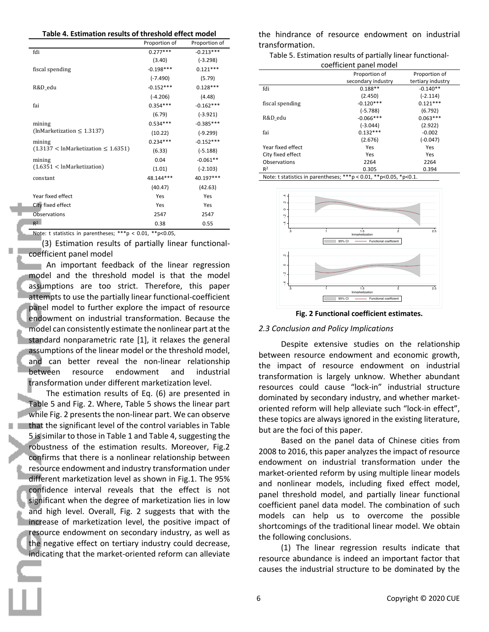**Table 4. Estimation results of threshold effect model**

|                                             | Proportion of | Proportion of |
|---------------------------------------------|---------------|---------------|
| fdi                                         | $0.277***$    | $-0.213***$   |
|                                             | (3.40)        | $(-3.298)$    |
| fiscal spending                             | $-0.198***$   | $0.121***$    |
|                                             | $(-7.490)$    | (5.79)        |
| R&D_edu                                     | $-0.152***$   | $0.128***$    |
|                                             | (-4.206)      | (4.48)        |
| fai                                         | $0.354***$    | $-0.162***$   |
|                                             | (6.79)        | $(-3.921)$    |
| mining                                      | $0.534***$    | $-0.385***$   |
| (lnMarketization $\leq$ 1.3137)             | (10.22)       | $(-9.299)$    |
| mining                                      | $0.234***$    | $-0.152***$   |
| $(1.3137 <$ InMarketization $\leq 1.6351$ ) | (6.33)        | $(-5.188)$    |
| mining                                      | 0.04          | $-0.061**$    |
| (1.6351 < InMarketization)                  | (1.01)        | $(-2.103)$    |
| constant                                    | 48.144***     | 40.197***     |
|                                             | (40.47)       | (42.63)       |
| Year fixed effect                           | Yes           | Yes           |
| City fixed effect                           | Yes           | Yes           |
| Observations                                | 2547          | 2547          |
| $R^2$                                       | 0.38          | 0.55          |

Note: t statistics in parentheses; \*\*\*p < 0.01, \*\*p<0.05,

(3) Estimation results of partially linear functionalcoefficient panel model

An important feedback of the linear regression model and the threshold model is that the model assumptions are too strict. Therefore, this paper attempts to use the partially linear functional-coefficient panel model to further explore the impact of resource endowment on industrial transformation. Because the model can consistently estimate the nonlinear part at the standard nonparametric rate [1], it relaxes the general assumptions of the linear model or the threshold model, and can better reveal the non-linear relationship between resource endowment and industrial transformation under different marketization level.

The estimation results of Eq. (6) are presented in Table 5 and Fig. 2. Where, Table 5 shows the linear part while Fig. 2 presents the non-linear part. We can observe that the significant level of the control variables in Table 5 is similar to those in Table 1 and Table 4, suggesting the robustness of the estimation results. Moreover, Fig.2 confirms that there is a nonlinear relationship between resource endowment and industry transformation under different marketization level as shown in Fig.1. The 95% confidence interval reveals that the effect is not significant when the degree of marketization lies in low and high level. Overall, Fig. 2 suggests that with the increase of marketization level, the positive impact of resource endowment on secondary industry, as well as the negative effect on tertiary industry could decrease, indicating that the market-oriented reform can alleviate

the hindrance of resource endowment on industrial transformation.

| Table 5. Estimation results of partially linear functional- |
|-------------------------------------------------------------|
| coefficient nanel model                                     |

|                   | COETHLICHT DATIET HIUUET |                   |
|-------------------|--------------------------|-------------------|
|                   | Proportion of            | Proportion of     |
|                   | secondary industry       | tertiary industry |
| fdi               | $0.188**$                | $-0.140**$        |
|                   | (2.450)                  | $(-2.114)$        |
| fiscal spending   | $-0.120***$              | $0.121***$        |
|                   | $(-5.788)$               | (6.792)           |
| R&D edu           | $-0.066***$              | $0.063***$        |
|                   | $(-3.044)$               | (2.922)           |
| fai               | $0.132***$               | $-0.002$          |
|                   | (2.676)                  | $(-0.047)$        |
| Year fixed effect | Yes                      | Yes               |
| City fixed effect | Yes                      | Yes               |
| Observations      | 2264                     | 2264              |
| R <sup>2</sup>    | 0.305                    | 0.394             |

Note: t statistics in parentheses; \*\*\*p < 0.01, \*\*p<0.05, \*p<0.1.



**Fig. 2 Functional coefficient estimates.**

# *2.3 Conclusion and Policy Implications*

Despite extensive studies on the relationship between resource endowment and economic growth, the impact of resource endowment on industrial transformation is largely unknow. Whether abundant resources could cause "lock-in" industrial structure dominated by secondary industry, and whether marketoriented reform will help alleviate such "lock-in effect", these topics are always ignored in the existing literature, but are the foci of this paper.

Based on the panel data of Chinese cities from 2008 to 2016, this paper analyzes the impact of resource endowment on industrial transformation under the market-oriented reform by using multiple linear models and nonlinear models, including fixed effect model, panel threshold model, and partially linear functional coefficient panel data model. The combination of such models can help us to overcome the possible shortcomings of the traditional linear model. We obtain the following conclusions. For the induction of the inductional structure to be dominated by the the induction of the induction of the induction of the induction of the induction of the induction of the induction of the induction of the induction of

(1) The linear regression results indicate that resource abundance is indeed an important factor that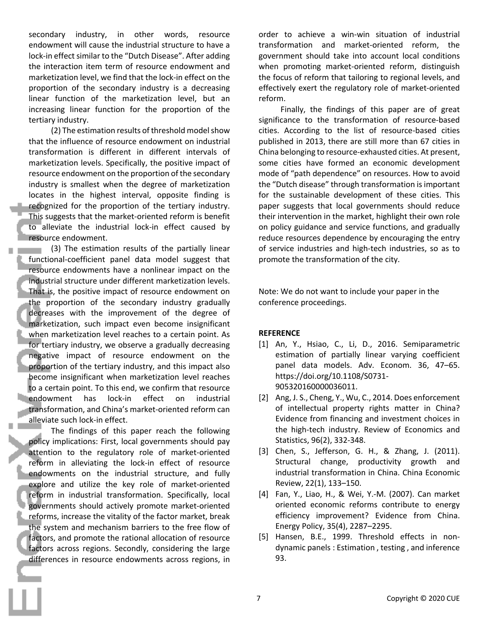secondary industry, in other words, resource endowment will cause the industrial structure to have a lock-in effect similar to the "Dutch Disease". After adding the interaction item term of resource endowment and marketization level, we find that the lock-in effect on the proportion of the secondary industry is a decreasing linear function of the marketization level, but an increasing linear function for the proportion of the tertiary industry.

(2) The estimation results of threshold model show that the influence of resource endowment on industrial transformation is different in different intervals of marketization levels. Specifically, the positive impact of resource endowment on the proportion of the secondary industry is smallest when the degree of marketization locates in the highest interval, opposite finding is recognized for the proportion of the tertiary industry. This suggests that the market-oriented reform is benefit to alleviate the industrial lock-in effect caused by resource endowment.

(3) The estimation results of the partially linear functional-coefficient panel data model suggest that resource endowments have a nonlinear impact on the industrial structure under different marketization levels. That is, the positive impact of resource endowment on the proportion of the secondary industry gradually decreases with the improvement of the degree of marketization, such impact even become insignificant when marketization level reaches to a certain point. As for tertiary industry, we observe a gradually decreasing negative impact of resource endowment on the proportion of the tertiary industry, and this impact also become insignificant when marketization level reaches to a certain point. To this end, we confirm that resource endowment has lock-in effect on industrial transformation, and China's market-oriented reform can alleviate such lock-in effect.

The findings of this paper reach the following policy implications: First, local governments should pay attention to the regulatory role of market-oriented reform in alleviating the lock-in effect of resource endowments on the industrial structure, and fully explore and utilize the key role of market-oriented reform in industrial transformation. Specifically, local governments should actively promote market-oriented reforms, increase the vitality of the factor market, break the system and mechanism barriers to the free flow of factors, and promote the rational allocation of resource factors across regions. Secondly, considering the large differences in resource endowments across regions, in

order to achieve a win-win situation of industrial transformation and market-oriented reform, the government should take into account local conditions when promoting market-oriented reform, distinguish the focus of reform that tailoring to regional levels, and effectively exert the regulatory role of market-oriented reform.

Finally, the findings of this paper are of great significance to the transformation of resource-based cities. According to the list of resource-based cities published in 2013, there are still more than 67 cities in China belonging to resource-exhausted cities. At present, some cities have formed an economic development mode of "path dependence" on resources. How to avoid the "Dutch disease" through transformation is important for the sustainable development of these cities. This paper suggests that local governments should reduce their intervention in the market, highlight their own role on policy guidance and service functions, and gradually reduce resources dependence by encouraging the entry of service industries and high-tech industries, so as to promote the transformation of the city.

Note: We do not want to include your paper in the conference proceedings.

# **REFERENCE**

- [1] An, Y., Hsiao, C., Li, D., 2016. Semiparametric estimation of partially linear varying coefficient panel data models. Adv. Econom. 36, 47–65. https://doi.org/10.1108/S0731- 905320160000036011.
- [2] Ang, J. S., Cheng, Y., Wu, C., 2014. Does enforcement of intellectual property rights matter in China? Evidence from financing and investment choices in the high-tech industry. Review of Economics and Statistics, 96(2), 332-348.
- [3] Chen, S., Jefferson, G. H., & Zhang, J. (2011). Structural change, productivity growth and industrial transformation in China. China Economic Review, 22(1), 133–150.
- [4] Fan, Y., Liao, H., & Wei, Y.-M. (2007). Can market oriented economic reforms contribute to energy efficiency improvement? Evidence from China. Energy Policy, 35(4), 2287–2295.
- [5] Hansen, B.E., 1999. Threshold effects in nondynamic panels : Estimation , testing , and inference 93.